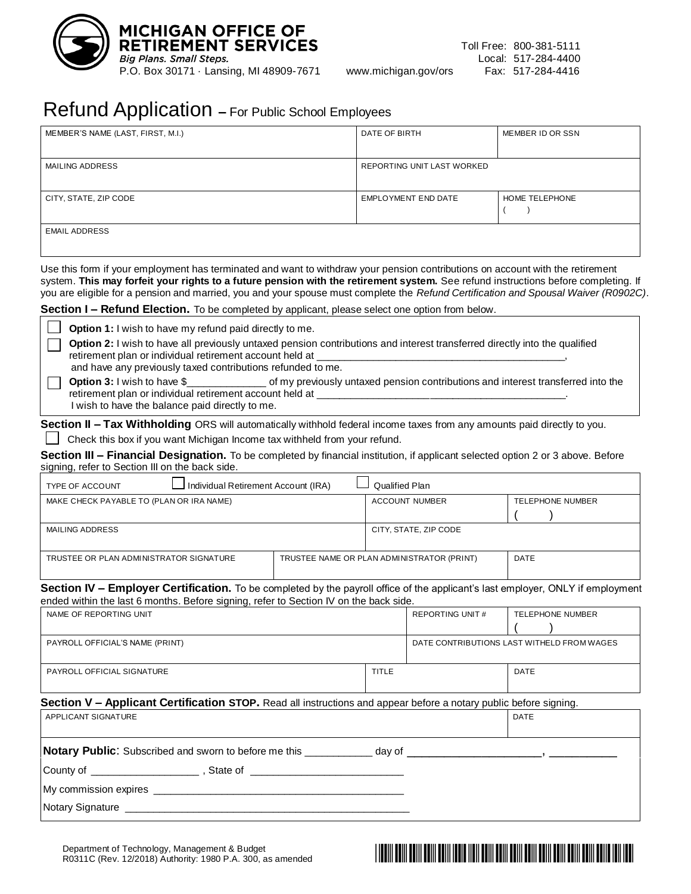

## Refund Application **–** For Public School Employees

| MEMBER'S NAME (LAST, FIRST, M.I.) | DATE OF BIRTH              | MEMBER ID OR SSN |
|-----------------------------------|----------------------------|------------------|
| <b>MAILING ADDRESS</b>            | REPORTING UNIT LAST WORKED |                  |
| CITY, STATE, ZIP CODE             | EMPLOYMENT END DATE        | HOME TELEPHONE   |
| <b>EMAIL ADDRESS</b>              |                            |                  |

Use this form if your employment has terminated and want to withdraw your pension contributions on account with the retirement system. **This may forfeit your rights to a future pension with the retirement system.** See refund instructions before completing. If you are eligible for a pension and married, you and your spouse must complete the *Refund Certification and Spousal Waiver (R0902C)*.

#### **Section I – Refund Election.** To be completed by applicant, please select one option from below.

**Option 1:** I wish to have my refund paid directly to me.

**Option 2:** I wish to have all previously untaxed pension contributions and interest transferred directly into the qualified retirement plan or individual retirement account held at

and have any previously taxed contributions refunded to me.

**Option 3:** I wish to have \$ of my previously untaxed pension contributions and interest transferred into the retirement plan or individual retirement account held at I wish to have the balance paid directly to me.

**Section II – Tax Withholding** ORS will automatically withhold federal income taxes from any amounts paid directly to you.

 $\Box$  Check this box if you want Michigan Income tax withheld from your refund.

**Section III – Financial Designation.** To be completed by financial institution, if applicant selected option 2 or 3 above. Before signing, refer to Section III on the back side.

| Individual Retirement Account (IRA)<br>Qualified Plan<br><b>TYPE OF ACCOUNT</b> |                                            |                       |                         |  |  |
|---------------------------------------------------------------------------------|--------------------------------------------|-----------------------|-------------------------|--|--|
| MAKE CHECK PAYABLE TO (PLAN OR IRA NAME)                                        |                                            | <b>ACCOUNT NUMBER</b> | <b>TELEPHONE NUMBER</b> |  |  |
|                                                                                 |                                            |                       |                         |  |  |
| MAILING ADDRESS                                                                 |                                            | CITY, STATE, ZIP CODE |                         |  |  |
|                                                                                 |                                            |                       |                         |  |  |
| TRUSTEE OR PLAN ADMINISTRATOR SIGNATURE                                         | TRUSTEE NAME OR PLAN ADMINISTRATOR (PRINT) |                       | <b>DATE</b>             |  |  |
|                                                                                 |                                            |                       |                         |  |  |

**Section IV – Employer Certification.** To be completed by the payroll office of the applicant's last employer, ONLY if employment ended within the last 6 months. Before signing, refer to Section IV on the back side.

| NAME OF REPORTING UNIT          |       | REPORTING UNIT # | TELEPHONE NUMBER                           |
|---------------------------------|-------|------------------|--------------------------------------------|
| PAYROLL OFFICIAL'S NAME (PRINT) |       |                  | DATE CONTRIBUTIONS LAST WITHELD FROM WAGES |
| PAYROLL OFFICIAL SIGNATURE      | TITLE |                  | <b>DATE</b>                                |

#### **Section V – Applicant Certification STOP.** Read all instructions and appear before a notary public before signing.

| APPLICANT SIGNATURE | <b>DATE</b> |
|---------------------|-------------|
|                     |             |
|                     |             |
|                     |             |
|                     |             |